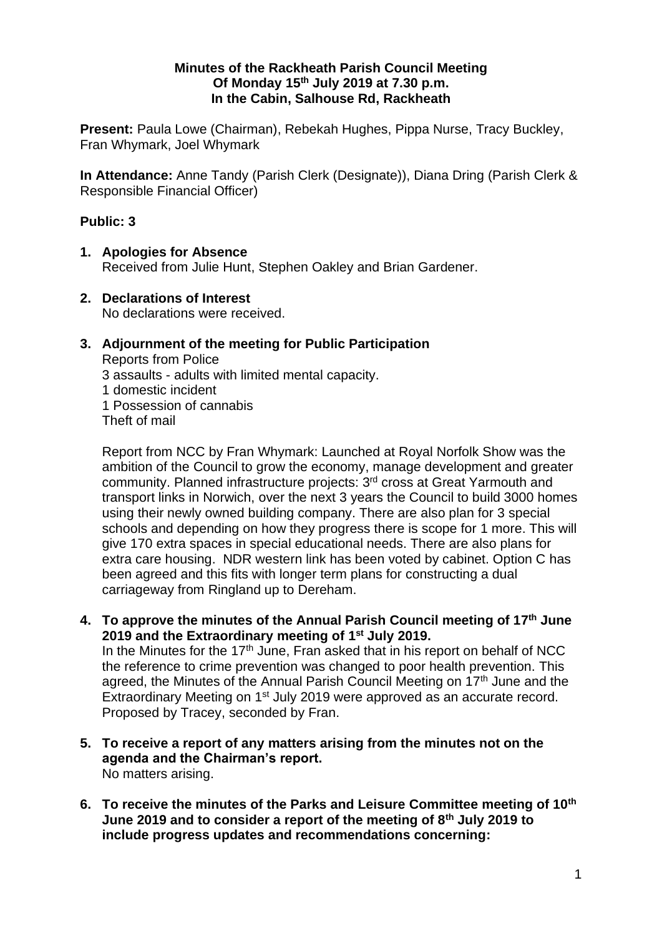## **Minutes of the Rackheath Parish Council Meeting Of Monday 15 th July 2019 at 7.30 p.m. In the Cabin, Salhouse Rd, Rackheath**

**Present:** Paula Lowe (Chairman), Rebekah Hughes, Pippa Nurse, Tracy Buckley, Fran Whymark, Joel Whymark

**In Attendance:** Anne Tandy (Parish Clerk (Designate)), Diana Dring (Parish Clerk & Responsible Financial Officer)

## **Public: 3**

- **1. Apologies for Absence** Received from Julie Hunt, Stephen Oakley and Brian Gardener.
- **2. Declarations of Interest** No declarations were received.
- **3. Adjournment of the meeting for Public Participation** Reports from Police 3 assaults - adults with limited mental capacity. 1 domestic incident 1 Possession of cannabis Theft of mail

Report from NCC by Fran Whymark: Launched at Royal Norfolk Show was the ambition of the Council to grow the economy, manage development and greater community. Planned infrastructure projects: 3<sup>rd</sup> cross at Great Yarmouth and transport links in Norwich, over the next 3 years the Council to build 3000 homes using their newly owned building company. There are also plan for 3 special schools and depending on how they progress there is scope for 1 more. This will give 170 extra spaces in special educational needs. There are also plans for extra care housing. NDR western link has been voted by cabinet. Option C has been agreed and this fits with longer term plans for constructing a dual carriageway from Ringland up to Dereham.

**4. To approve the minutes of the Annual Parish Council meeting of 17 th June 2019 and the Extraordinary meeting of 1 st July 2019.**

In the Minutes for the 17<sup>th</sup> June, Fran asked that in his report on behalf of NCC the reference to crime prevention was changed to poor health prevention. This agreed, the Minutes of the Annual Parish Council Meeting on 17<sup>th</sup> June and the Extraordinary Meeting on 1<sup>st</sup> July 2019 were approved as an accurate record. Proposed by Tracey, seconded by Fran.

- **5. To receive a report of any matters arising from the minutes not on the agenda and the Chairman's report.** No matters arising.
- **6. To receive the minutes of the Parks and Leisure Committee meeting of 10th June 2019 and to consider a report of the meeting of 8th July 2019 to include progress updates and recommendations concerning:**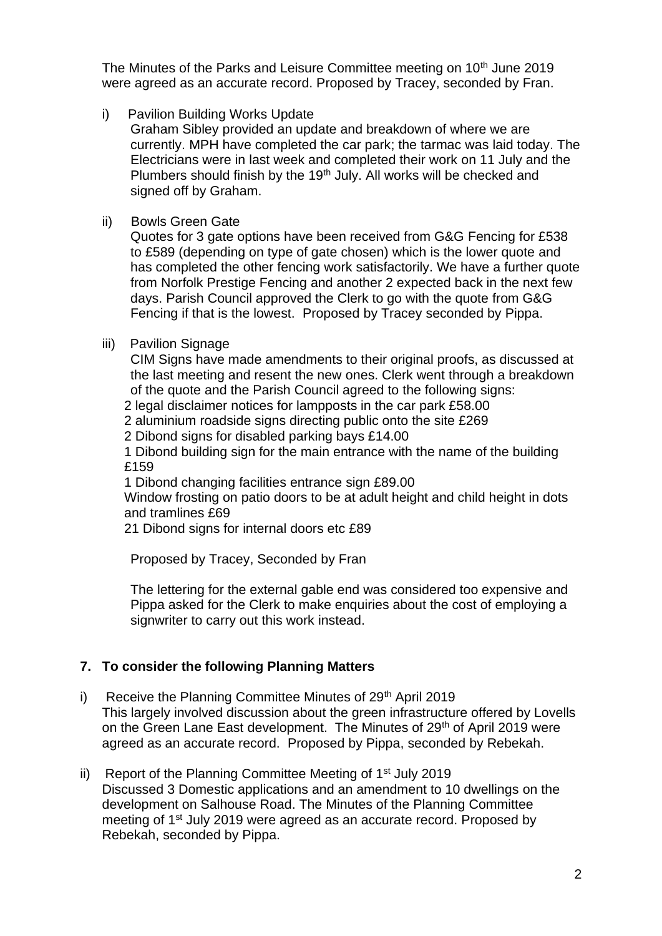The Minutes of the Parks and Leisure Committee meeting on 10<sup>th</sup> June 2019 were agreed as an accurate record. Proposed by Tracey, seconded by Fran.

i) Pavilion Building Works Update

Graham Sibley provided an update and breakdown of where we are currently. MPH have completed the car park; the tarmac was laid today. The Electricians were in last week and completed their work on 11 July and the Plumbers should finish by the 19<sup>th</sup> July. All works will be checked and signed off by Graham.

ii) Bowls Green Gate

Quotes for 3 gate options have been received from G&G Fencing for £538 to £589 (depending on type of gate chosen) which is the lower quote and has completed the other fencing work satisfactorily. We have a further quote from Norfolk Prestige Fencing and another 2 expected back in the next few days. Parish Council approved the Clerk to go with the quote from G&G Fencing if that is the lowest. Proposed by Tracey seconded by Pippa.

iii) Pavilion Signage

CIM Signs have made amendments to their original proofs, as discussed at the last meeting and resent the new ones. Clerk went through a breakdown of the quote and the Parish Council agreed to the following signs:

2 legal disclaimer notices for lampposts in the car park £58.00

2 aluminium roadside signs directing public onto the site £269

2 Dibond signs for disabled parking bays £14.00

1 Dibond building sign for the main entrance with the name of the building £159

1 Dibond changing facilities entrance sign £89.00

Window frosting on patio doors to be at adult height and child height in dots and tramlines £69

21 Dibond signs for internal doors etc £89

Proposed by Tracey, Seconded by Fran

The lettering for the external gable end was considered too expensive and Pippa asked for the Clerk to make enquiries about the cost of employing a signwriter to carry out this work instead.

# **7. To consider the following Planning Matters**

- i) Receive the Planning Committee Minutes of 29<sup>th</sup> April 2019 This largely involved discussion about the green infrastructure offered by Lovells on the Green Lane East development. The Minutes of 29<sup>th</sup> of April 2019 were agreed as an accurate record. Proposed by Pippa, seconded by Rebekah.
- ii) Report of the Planning Committee Meeting of  $1<sup>st</sup>$  July 2019 Discussed 3 Domestic applications and an amendment to 10 dwellings on the development on Salhouse Road. The Minutes of the Planning Committee meeting of 1st July 2019 were agreed as an accurate record. Proposed by Rebekah, seconded by Pippa.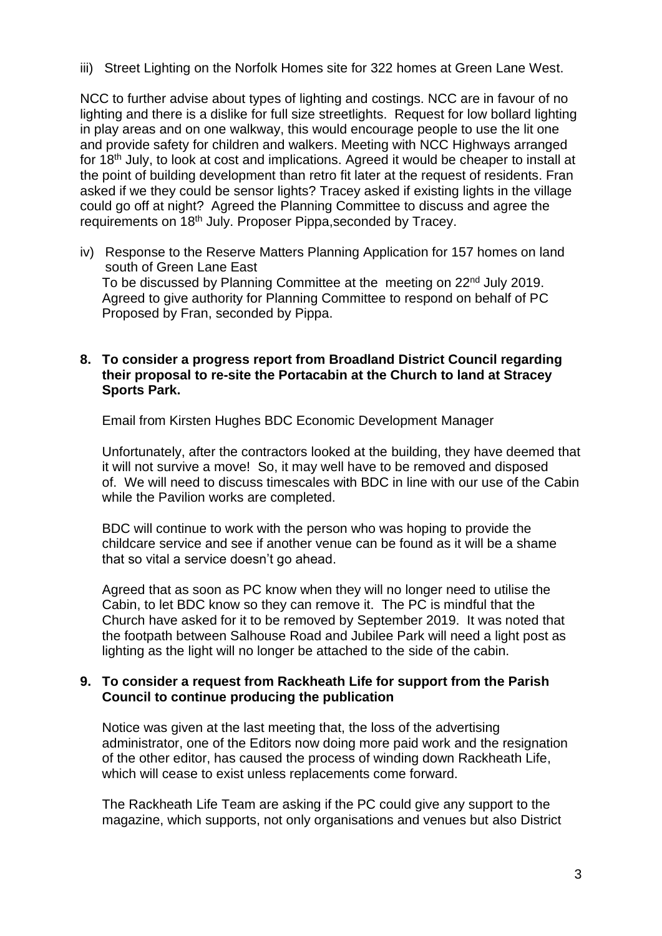iii) Street Lighting on the Norfolk Homes site for 322 homes at Green Lane West.

NCC to further advise about types of lighting and costings. NCC are in favour of no lighting and there is a dislike for full size streetlights. Request for low bollard lighting in play areas and on one walkway, this would encourage people to use the lit one and provide safety for children and walkers. Meeting with NCC Highways arranged for 18th July, to look at cost and implications. Agreed it would be cheaper to install at the point of building development than retro fit later at the request of residents. Fran asked if we they could be sensor lights? Tracey asked if existing lights in the village could go off at night? Agreed the Planning Committee to discuss and agree the requirements on 18<sup>th</sup> July. Proposer Pippa, seconded by Tracey.

iv) Response to the Reserve Matters Planning Application for 157 homes on land south of Green Lane East To be discussed by Planning Committee at the meeting on 22<sup>nd</sup> July 2019. Agreed to give authority for Planning Committee to respond on behalf of PC Proposed by Fran, seconded by Pippa.

#### **8. To consider a progress report from Broadland District Council regarding their proposal to re-site the Portacabin at the Church to land at Stracey Sports Park.**

Email from Kirsten Hughes BDC Economic Development Manager

Unfortunately, after the contractors looked at the building, they have deemed that it will not survive a move! So, it may well have to be removed and disposed of. We will need to discuss timescales with BDC in line with our use of the Cabin while the Pavilion works are completed.

BDC will continue to work with the person who was hoping to provide the childcare service and see if another venue can be found as it will be a shame that so vital a service doesn't go ahead.

Agreed that as soon as PC know when they will no longer need to utilise the Cabin, to let BDC know so they can remove it. The PC is mindful that the Church have asked for it to be removed by September 2019. It was noted that the footpath between Salhouse Road and Jubilee Park will need a light post as lighting as the light will no longer be attached to the side of the cabin.

## **9. To consider a request from Rackheath Life for support from the Parish Council to continue producing the publication**

Notice was given at the last meeting that, the loss of the advertising administrator, one of the Editors now doing more paid work and the resignation of the other editor, has caused the process of winding down Rackheath Life, which will cease to exist unless replacements come forward.

The Rackheath Life Team are asking if the PC could give any support to the magazine, which supports, not only organisations and venues but also District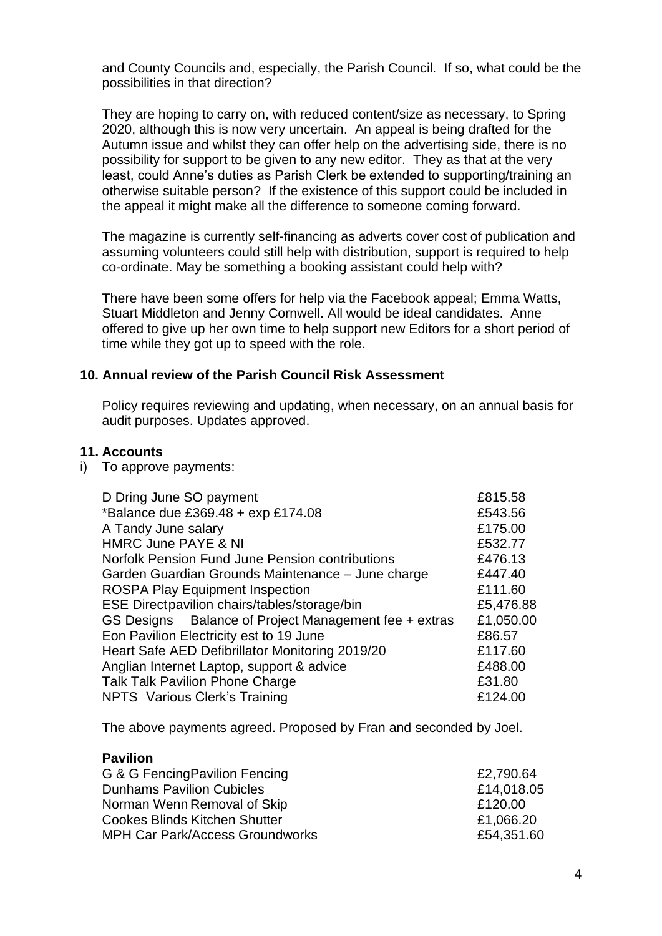and County Councils and, especially, the Parish Council. If so, what could be the possibilities in that direction?

They are hoping to carry on, with reduced content/size as necessary, to Spring 2020, although this is now very uncertain. An appeal is being drafted for the Autumn issue and whilst they can offer help on the advertising side, there is no possibility for support to be given to any new editor. They as that at the very least, could Anne's duties as Parish Clerk be extended to supporting/training an otherwise suitable person? If the existence of this support could be included in the appeal it might make all the difference to someone coming forward.

The magazine is currently self-financing as adverts cover cost of publication and assuming volunteers could still help with distribution, support is required to help co-ordinate. May be something a booking assistant could help with?

There have been some offers for help via the Facebook appeal; Emma Watts, Stuart Middleton and Jenny Cornwell. All would be ideal candidates. Anne offered to give up her own time to help support new Editors for a short period of time while they got up to speed with the role.

#### **10. Annual review of the Parish Council Risk Assessment**

Policy requires reviewing and updating, when necessary, on an annual basis for audit purposes. Updates approved.

#### **11. Accounts**

i) To approve payments:

| £815.58   |
|-----------|
| £543.56   |
| £175.00   |
| £532.77   |
| £476.13   |
| £447.40   |
| £111.60   |
| £5,476.88 |
| £1,050.00 |
| £86.57    |
| £117.60   |
| £488.00   |
| £31.80    |
| £124.00   |
|           |

The above payments agreed. Proposed by Fran and seconded by Joel.

#### **Pavilion**

| G & G Fencing Pavilion Fencing         | £2,790.64  |
|----------------------------------------|------------|
| <b>Dunhams Pavilion Cubicles</b>       | £14,018.05 |
| Norman Wenn Removal of Skip            | £120.00    |
| <b>Cookes Blinds Kitchen Shutter</b>   | £1,066.20  |
| <b>MPH Car Park/Access Groundworks</b> | £54,351.60 |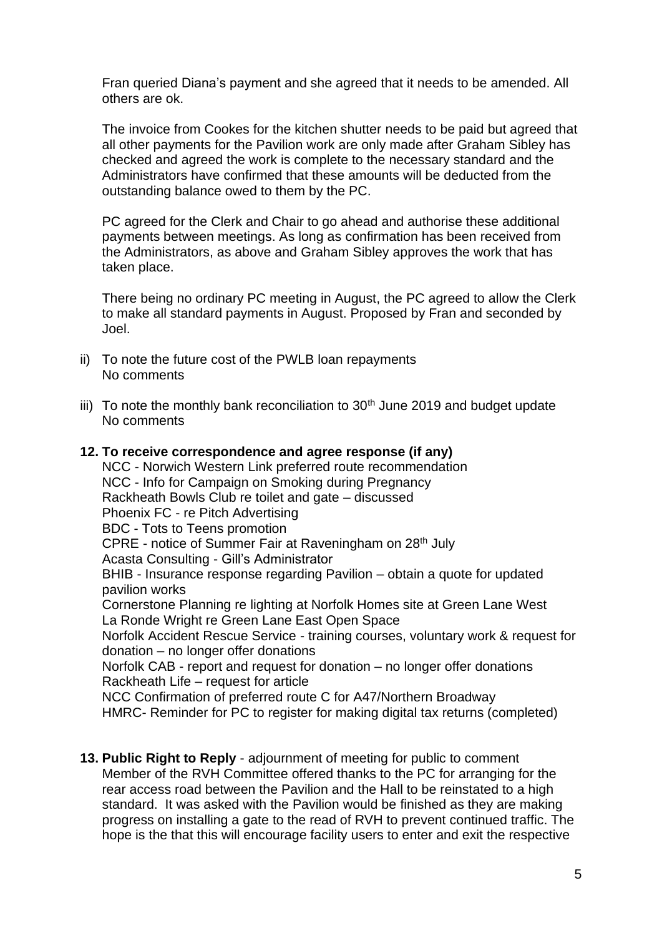Fran queried Diana's payment and she agreed that it needs to be amended. All others are ok.

The invoice from Cookes for the kitchen shutter needs to be paid but agreed that all other payments for the Pavilion work are only made after Graham Sibley has checked and agreed the work is complete to the necessary standard and the Administrators have confirmed that these amounts will be deducted from the outstanding balance owed to them by the PC.

PC agreed for the Clerk and Chair to go ahead and authorise these additional payments between meetings. As long as confirmation has been received from the Administrators, as above and Graham Sibley approves the work that has taken place.

There being no ordinary PC meeting in August, the PC agreed to allow the Clerk to make all standard payments in August. Proposed by Fran and seconded by Joel.

- ii) To note the future cost of the PWLB loan repayments No comments
- iii) To note the monthly bank reconciliation to  $30<sup>th</sup>$  June 2019 and budget update No comments

**12. To receive correspondence and agree response (if any)** NCC - Norwich Western Link preferred route recommendation NCC - Info for Campaign on Smoking during Pregnancy Rackheath Bowls Club re toilet and gate – discussed Phoenix FC - re Pitch Advertising BDC - Tots to Teens promotion CPRE - notice of Summer Fair at Raveningham on 28th July Acasta Consulting - Gill's Administrator BHIB - Insurance response regarding Pavilion – obtain a quote for updated pavilion works Cornerstone Planning re lighting at Norfolk Homes site at Green Lane West La Ronde Wright re Green Lane East Open Space Norfolk Accident Rescue Service - training courses, voluntary work & request for donation – no longer offer donations Norfolk CAB - report and request for donation – no longer offer donations Rackheath Life – request for article NCC Confirmation of preferred route C for A47/Northern Broadway HMRC- Reminder for PC to register for making digital tax returns (completed)

**13. Public Right to Reply** - adjournment of meeting for public to comment Member of the RVH Committee offered thanks to the PC for arranging for the rear access road between the Pavilion and the Hall to be reinstated to a high standard. It was asked with the Pavilion would be finished as they are making progress on installing a gate to the read of RVH to prevent continued traffic. The hope is the that this will encourage facility users to enter and exit the respective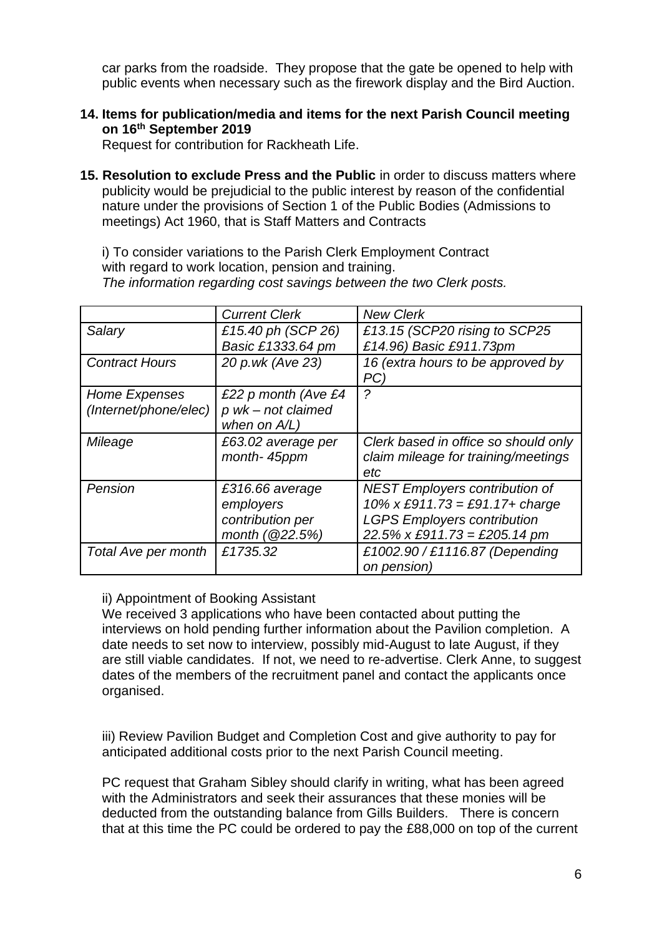car parks from the roadside. They propose that the gate be opened to help with public events when necessary such as the firework display and the Bird Auction.

**14. Items for publication/media and items for the next Parish Council meeting on 16th September 2019**

Request for contribution for Rackheath Life.

**15. Resolution to exclude Press and the Public** in order to discuss matters where publicity would be prejudicial to the public interest by reason of the confidential nature under the provisions of Section 1 of the Public Bodies (Admissions to meetings) Act 1960, that is Staff Matters and Contracts

i) To consider variations to the Parish Clerk Employment Contract with regard to work location, pension and training. *The information regarding cost savings between the two Clerk posts.*

|                       | <b>Current Clerk</b> | <b>New Clerk</b>                         |
|-----------------------|----------------------|------------------------------------------|
| Salary                | £15.40 ph (SCP 26)   | £13.15 (SCP20 rising to SCP25            |
|                       | Basic £1333.64 pm    | £14.96) Basic £911.73pm                  |
| <b>Contract Hours</b> | 20 p.wk (Ave 23)     | 16 (extra hours to be approved by<br>PC) |
| Home Expenses         | £22 p month (Ave £4  |                                          |
| (Internet/phone/elec) | p wk - not claimed   |                                          |
|                       | when on $A/L$ )      |                                          |
| Mileage               | £63.02 average per   | Clerk based in office so should only     |
|                       | month-45ppm          | claim mileage for training/meetings      |
|                       |                      | etc                                      |
| Pension               | £316.66 average      | <b>NEST Employers contribution of</b>    |
|                       | employers            | 10% x £911.73 = £91.17+ charge           |
|                       | contribution per     | <b>LGPS Employers contribution</b>       |
|                       | month (@22.5%)       | $22.5\%$ x £911.73 = £205.14 pm          |
| Total Ave per month   | £1735.32             | £1002.90 / £1116.87 (Depending           |
|                       |                      | on pension)                              |

## ii) Appointment of Booking Assistant

We received 3 applications who have been contacted about putting the interviews on hold pending further information about the Pavilion completion. A date needs to set now to interview, possibly mid-August to late August, if they are still viable candidates. If not, we need to re-advertise. Clerk Anne, to suggest dates of the members of the recruitment panel and contact the applicants once organised.

iii) Review Pavilion Budget and Completion Cost and give authority to pay for anticipated additional costs prior to the next Parish Council meeting.

PC request that Graham Sibley should clarify in writing, what has been agreed with the Administrators and seek their assurances that these monies will be deducted from the outstanding balance from Gills Builders. There is concern that at this time the PC could be ordered to pay the £88,000 on top of the current